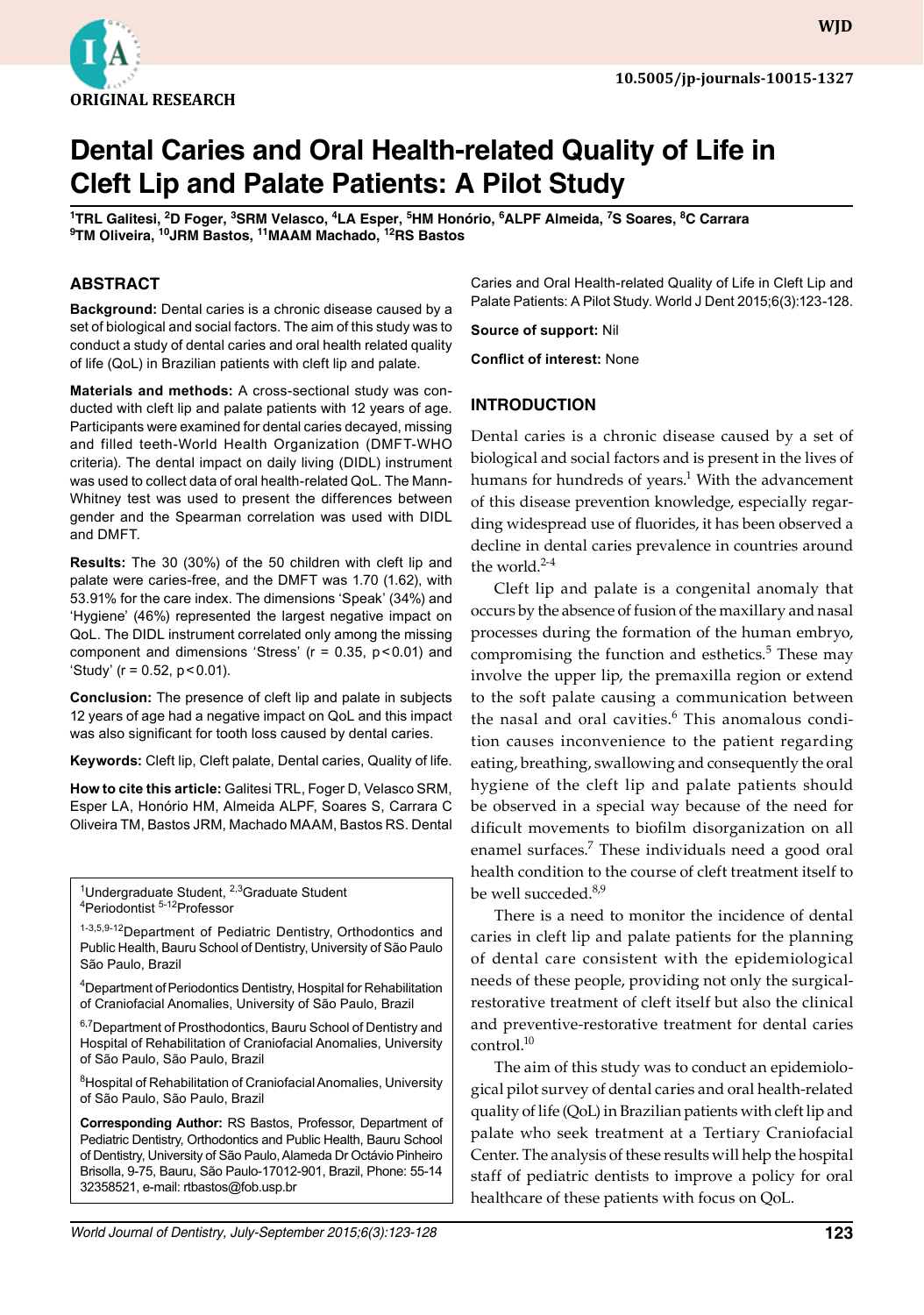

# **Dental Caries and Oral Health-related Quality of Life in Cleft Lip and Palate Patients: A Pilot Study**

 $^1$ TRL Galitesi, <sup>2</sup>D Foger, <sup>3</sup>SRM Velasco, <sup>4</sup>LA Esper, <sup>5</sup>HM Honório, <sup>6</sup>ALPF Almeida, <sup>7</sup>S Soares, <sup>8</sup>C Carrara **9 TM Oliveira, 10JRM Bastos, 11MAAM Machado, 12RS Bastos**

#### **ABSTRACT**

**Background:** Dental caries is a chronic disease caused by a set of biological and social factors. The aim of this study was to conduct a study of dental caries and oral health related quality of life (QoL) in Brazilian patients with cleft lip and palate.

**Materials and methods:** A cross-sectional study was conducted with cleft lip and palate patients with 12 years of age. Participants were examined for dental caries decayed, missing and filled teeth-World Health Organization (DMFT-WHO criteria). The dental impact on daily living (DIDL) instrument was used to collect data of oral health-related QoL. The Mann-Whitney test was used to present the differences between gender and the Spearman correlation was used with DIDL and DMFT.

**Results:** The 30 (30%) of the 50 children with cleft lip and palate were caries-free, and the DMFT was 1.70 (1.62), with 53.91% for the care index. The dimensions 'Speak' (34%) and 'Hygiene' (46%) represented the largest negative impact on QoL. The DIDL instrument correlated only among the missing component and dimensions 'Stress'  $(r = 0.35, p < 0.01)$  and 'Study' ( $r = 0.52$ ,  $p < 0.01$ ).

**Conclusion:** The presence of cleft lip and palate in subjects 12 years of age had a negative impact on QoL and this impact was also significant for tooth loss caused by dental caries.

**Keywords:** Cleft lip, Cleft palate, Dental caries, Quality of life.

**How to cite this article:** Galitesi TRL, Foger D, Velasco SRM, Esper LA, Honório HM, Almeida ALPF, Soares S, Carrara C Oliveira TM, Bastos JRM, Machado MAAM, Bastos RS. Dental

<sup>1</sup>Undergraduate Student, <sup>2,3</sup>Graduate Student<br><sup>4</sup>Periodontist <sup>5-12</sup>Professor Periodontist 5-12Professor

1-3,5,9-12 Department of Pediatric Dentistry, Orthodontics and Public Health, Bauru School of Dentistry, University of São Paulo São Paulo, Brazil

<sup>4</sup>Department of Periodontics Dentistry, Hospital for Rehabilitation of Craniofacial Anomalies, University of São Paulo, Brazil

<sup>6,7</sup>Department of Prosthodontics, Bauru School of Dentistry and Hospital of Rehabilitation of Craniofacial Anomalies, University of São Paulo, São Paulo, Brazil

<sup>8</sup> Hospital of Rehabilitation of Craniofacial Anomalies, University of São Paulo, São Paulo, Brazil

**Corresponding Author:** RS Bastos, Professor, Department of Pediatric Dentistry, Orthodontics and Public Health, Bauru School of Dentistry, University of São Paulo, Alameda Dr Octávio Pinheiro Brisolla, 9-75, Bauru, São Paulo-17012-901, Brazil, Phone: 55-14 32358521, e-mail: rtbastos@fob.usp.br

Caries and Oral Health-related Quality of Life in Cleft Lip and Palate Patients: A Pilot Study. World J Dent 2015;6(3):123-128.

**Source of support:** Nil

**Conflict of interest:** None

#### **Introduction**

Dental caries is a chronic disease caused by a set of biological and social factors and is present in the lives of humans for hundreds of years.<sup>1</sup> With the advancement of this disease prevention knowledge, especially regarding widespread use of fluorides, it has been observed a decline in dental caries prevalence in countries around the world. $2-4$ 

Cleft lip and palate is a congenital anomaly that occurs by the absence of fusion of the maxillary and nasal processes during the formation of the human embryo, compromising the function and esthetics.<sup>5</sup> These may involve the upper lip, the premaxilla region or extend to the soft palate causing a communication between the nasal and oral cavities.<sup>6</sup> This anomalous condition causes inconvenience to the patient regarding eating, breathing, swallowing and consequently the oral hygiene of the cleft lip and palate patients should be observed in a special way because of the need for dificult movements to biofilm disorganization on all enamel surfaces.<sup>7</sup> These individuals need a good oral health condition to the course of cleft treatment itself to be well succeded.<sup>8,9</sup>

There is a need to monitor the incidence of dental caries in cleft lip and palate patients for the planning of dental care consistent with the epidemiological needs of these people, providing not only the surgicalrestorative treatment of cleft itself but also the clinical and preventive-restorative treatment for dental caries control.<sup>10</sup>

The aim of this study was to conduct an epidemiological pilot survey of dental caries and oral health-related quality of life (QoL) in Brazilian patients with cleft lip and palate who seek treatment at a Tertiary Craniofacial Center. The analysis of these results will help the hospital staff of pediatric dentists to improve a policy for oral healthcare of these patients with focus on QoL.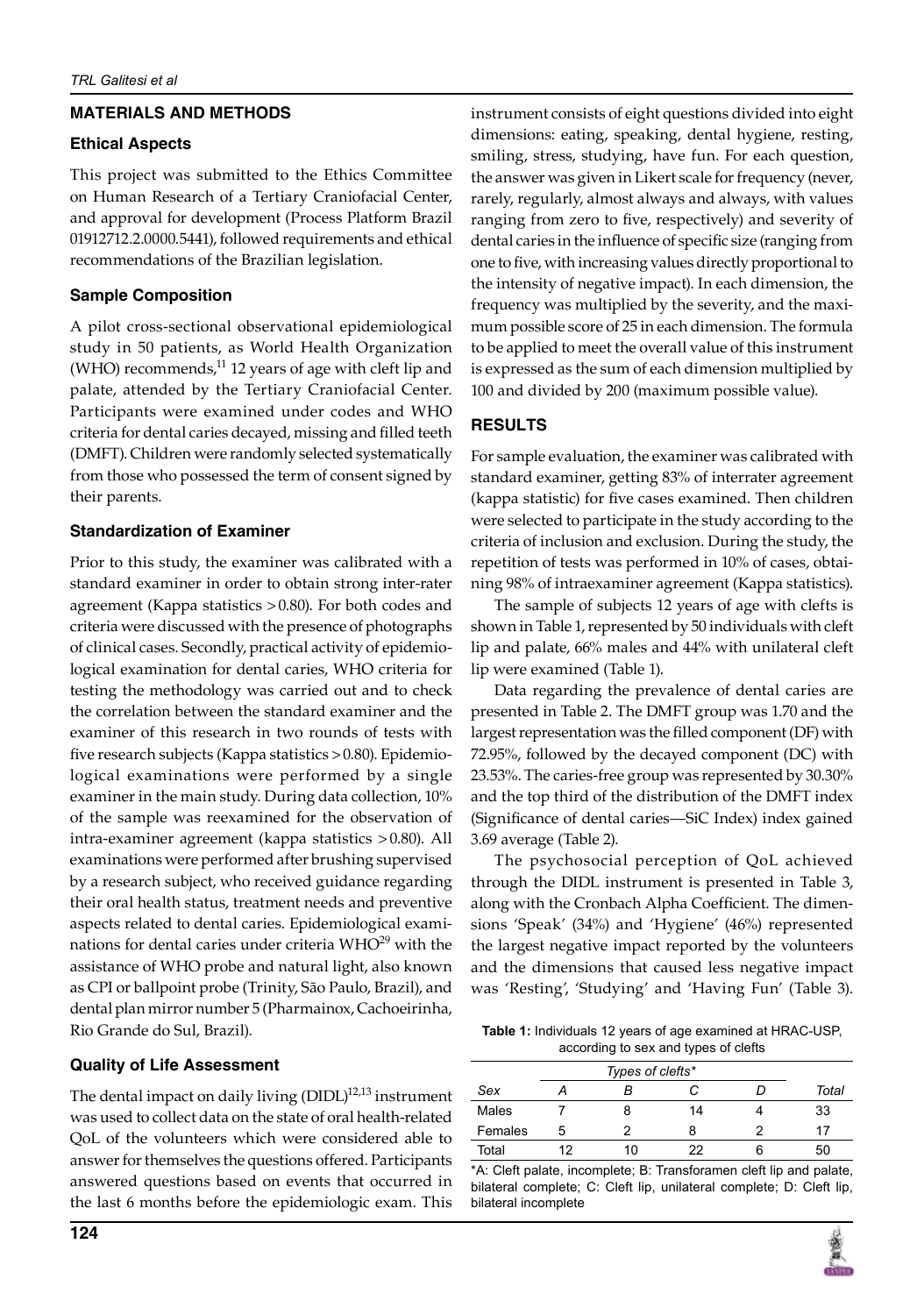## **materials and Methods**

## **Ethical aspects**

This project was submitted to the Ethics Committee on Human Research of a Tertiary Craniofacial Center, and approval for development (Process Platform Brazil 01912712.2.0000.5441), followed requirements and ethical recommendations of the Brazilian legislation.

# **Sample composition**

A pilot cross-sectional observational epidemiological study in 50 patients, as World Health Organization (WHO) recommends, $^{11}$  12 years of age with cleft lip and palate, attended by the Tertiary Craniofacial Center. Participants were examined under codes and WHO criteria for dental caries decayed, missing and filled teeth (DMFT). Children were randomly selected systematically from those who possessed the term of consent signed by their parents.

## **Standardization of Examiner**

Prior to this study, the examiner was calibrated with a standard examiner in order to obtain strong inter-rater agreement (kappa statistics >0.80). For both codes and criteria were discussed with the presence of photographs of clinical cases. Secondly, practical activity of epidemiological examination for dental caries, WHO criteria for testing the methodology was carried out and to check the correlation between the standard examiner and the examiner of this research in two rounds of tests with five research subjects (Kappa statistics >0.80). Epidemiological examinations were performed by a single examiner in the main study. During data collection, 10% of the sample was reexamined for the observation of intra-examiner agreement (kappa statistics >0.80). All examinations were performed after brushing supervised by a research subject, who received guidance regarding their oral health status, treatment needs and preventive aspects related to dental caries. Epidemiological examinations for dental caries under criteria WHO<sup>29</sup> with the assistance of WHO probe and natural light, also known as CPI or ballpoint probe (Trinity, São Paulo, Brazil), and dental plan mirror number 5 (Pharmainox, Cachoeirinha, Rio Grande do Sul, Brazil).

# **Quality of Life Assessment**

The dental impact on daily living  $(DIDL)^{12,13}$  instrument was used to collect data on the state of oral health-related QoL of the volunteers which were considered able to answer for themselves the questions offered. Participants answered questions based on events that occurred in the last 6 months before the epidemiologic exam. This

instrument consists of eight questions divided into eight dimensions: eating, speaking, dental hygiene, resting, smiling, stress, studying, have fun. For each question, the answer was given in Likert scale for frequency (never, rarely, regularly, almost always and always, with values ranging from zero to five, respectively) and severity of dental caries in the influence of specific size (ranging from one to five, with increasing values directly proportional to the intensity of negative impact). In each dimension, the frequency was multiplied by the severity, and the maximum possible score of 25 in each dimension. The formula to be applied to meet the overall value of this instrument is expressed as the sum of each dimension multiplied by 100 and divided by 200 (maximum possible value).

# **Results**

For sample evaluation, the examiner was calibrated with standard examiner, getting 83% of interrater agreement (kappa statistic) for five cases examined. Then children were selected to participate in the study according to the criteria of inclusion and exclusion. During the study, the repetition of tests was performed in 10% of cases, obtaining 98% of intraexaminer agreement (kappa statistics).

The sample of subjects 12 years of age with clefts is shown in Table 1, represented by 50 individuals with cleft lip and palate, 66% males and 44% with unilateral cleft lip were examined (Table 1).

Data regarding the prevalence of dental caries are presented in table 2. The DMFT group was 1.70 and the largest representation was the filled component (DF) with 72.95%, followed by the decayed component (DC) with 23.53%. The caries-free group was represented by 30.30% and the top third of the distribution of the DMFT index (Significance of dental caries—SiC Index) index gained 3.69 average (Table 2).

The psychosocial perception of QoL achieved through the DIDL instrument is presented in Table 3, along with the Cronbach Alpha Coefficient. The dimensions 'Speak' (34%) and 'Hygiene' (46%) represented the largest negative impact reported by the volunteers and the dimensions that caused less negative impact was 'Resting', 'Studying' and 'Having Fun' (Table 3).

**Table 1:** Individuals 12 years of age examined at HRAC-USP, according to sex and types of clefts

|         | Types of clefts* |    |    |   |       |  |
|---------|------------------|----|----|---|-------|--|
| Sex     |                  |    |    |   | Total |  |
| Males   |                  | 8  | 14 |   | 33    |  |
| Females | 5                | າ  | я  |   | 17    |  |
| Total   | 12               | 10 | 22 | r | 50    |  |

\*A: Cleft palate, incomplete; B: Transforamen cleft lip and palate, bilateral complete; C: Cleft lip, unilateral complete; D: Cleft lip, bilateral incomplete

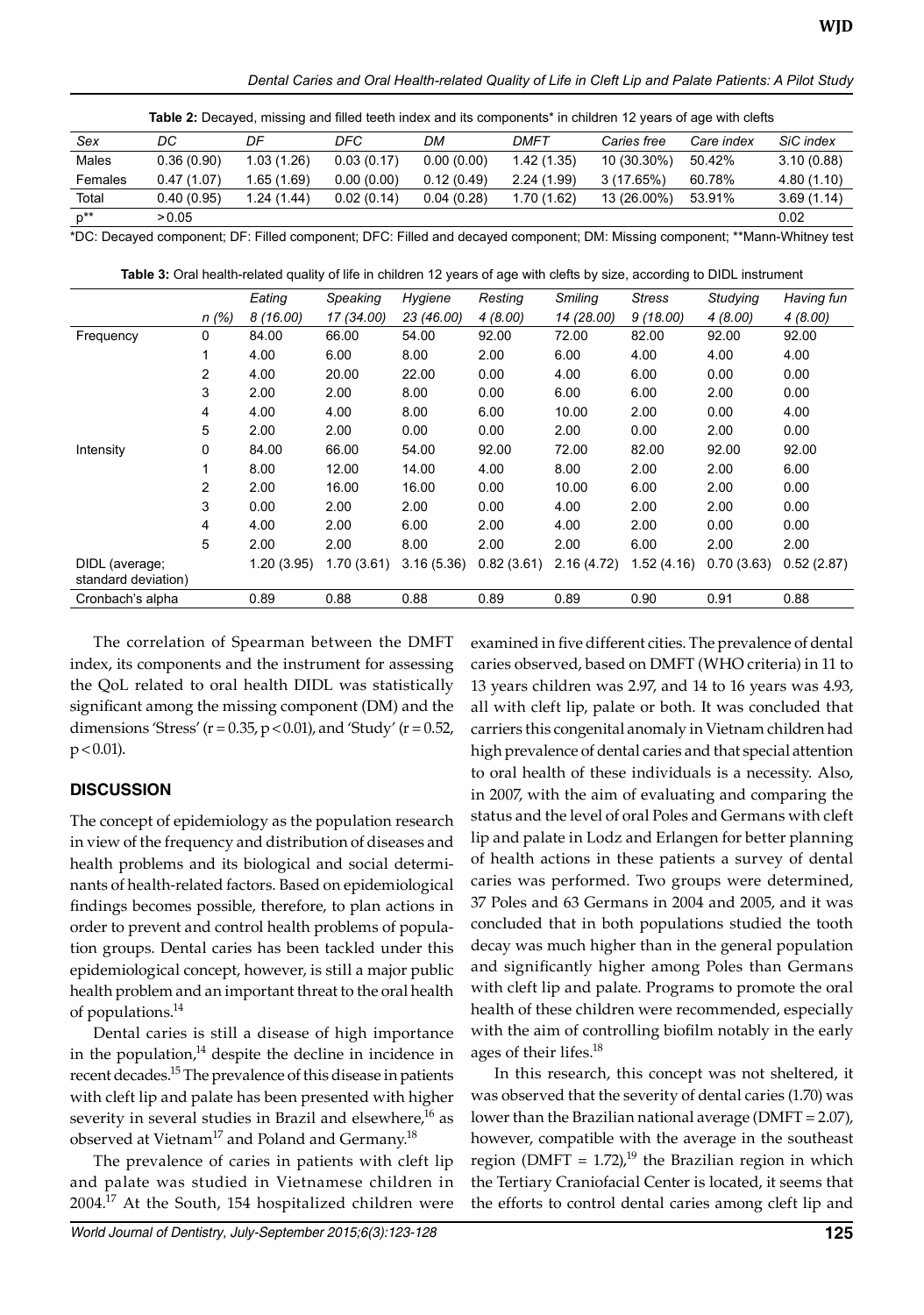*Dental Caries and Oral Health-related Quality of Life in Cleft Lip and Palate Patients: A Pilot Study*

| <b>Table 2:</b> Decayed, missing and filled teeth index and its components* in children 12 years of age with clefts |            |            |            |            |            |             |            |            |
|---------------------------------------------------------------------------------------------------------------------|------------|------------|------------|------------|------------|-------------|------------|------------|
| Sex                                                                                                                 | DC         | DF         | DFC        | DM         | DMFT       | Caries free | Care index | SiC index  |
| Males                                                                                                               | 0.36(0.90) | 1.03(1.26) | 0.03(0.17) | 0.00(0.00) | 1.42(1.35) | 10 (30.30%) | 50.42%     | 3.10(0.88) |
| Females                                                                                                             | 0.47(1.07) | 1.65(1.69) | 0.00(0.00) | 0.12(0.49) | 2.24(1.99) | 3(17.65%)   | 60.78%     | 4.80(1.10) |
| Total                                                                                                               | 0.40(0.95) | 1.24(1.44) | 0.02(0.14) | 0.04(0.28) | 1.70(1.62) | 13 (26.00%) | 53.91%     | 3.69(1.14) |
| $p^{**}$                                                                                                            | > 0.05     |            |            |            |            |             |            | 0.02       |

\*DC: decayed component; DF: filled component; DFC: filled and decayed component; DM: missing component; \*\*Mann-Whitney test

**Table 3:** Oral health-related quality of life in children 12 years of age with clefts by size, according to DIDL instrument

|                                       |                | Eating     | Speaking   | Hygiene    | Resting    | <b>Smiling</b> | <b>Stress</b> | Studying   | Having fun |
|---------------------------------------|----------------|------------|------------|------------|------------|----------------|---------------|------------|------------|
|                                       | n (%)          | 8 (16.00)  | 17 (34.00) | 23 (46.00) | 4(8.00)    | 14 (28.00)     | 9(18.00)      | 4(8.00)    | 4(8.00)    |
| Frequency                             | 0              | 84.00      | 66.00      | 54.00      | 92.00      | 72.00          | 82.00         | 92.00      | 92.00      |
|                                       |                | 4.00       | 6.00       | 8.00       | 2.00       | 6.00           | 4.00          | 4.00       | 4.00       |
|                                       | 2              | 4.00       | 20.00      | 22.00      | 0.00       | 4.00           | 6.00          | 0.00       | 0.00       |
|                                       | 3              | 2.00       | 2.00       | 8.00       | 0.00       | 6.00           | 6.00          | 2.00       | 0.00       |
|                                       | 4              | 4.00       | 4.00       | 8.00       | 6.00       | 10.00          | 2.00          | 0.00       | 4.00       |
|                                       | 5              | 2.00       | 2.00       | 0.00       | 0.00       | 2.00           | 0.00          | 2.00       | 0.00       |
| Intensity                             | 0              | 84.00      | 66.00      | 54.00      | 92.00      | 72.00          | 82.00         | 92.00      | 92.00      |
|                                       |                | 8.00       | 12.00      | 14.00      | 4.00       | 8.00           | 2.00          | 2.00       | 6.00       |
|                                       | $\overline{2}$ | 2.00       | 16.00      | 16.00      | 0.00       | 10.00          | 6.00          | 2.00       | 0.00       |
|                                       | 3              | 0.00       | 2.00       | 2.00       | 0.00       | 4.00           | 2.00          | 2.00       | 0.00       |
|                                       | 4              | 4.00       | 2.00       | 6.00       | 2.00       | 4.00           | 2.00          | 0.00       | 0.00       |
|                                       | 5              | 2.00       | 2.00       | 8.00       | 2.00       | 2.00           | 6.00          | 2.00       | 2.00       |
| DIDL (average;<br>standard deviation) |                | 1.20(3.95) | 1.70(3.61) | 3.16(5.36) | 0.82(3.61) | 2.16(4.72)     | 1.52(4.16)    | 0.70(3.63) | 0.52(2.87) |
| Cronbach's alpha                      |                | 0.89       | 0.88       | 0.88       | 0.89       | 0.89           | 0.90          | 0.91       | 0.88       |

The correlation of Spearman between the DMFT index, its components and the instrument for assessing the QoL related to oral health DIDL was statistically significant among the missing component (DM) and the dimensions 'Stress' ( $r = 0.35$ ,  $p < 0.01$ ), and 'Study' ( $r = 0.52$ ,  $p < 0.01$ ).

# **Discussion**

The concept of epidemiology as the population research in view of the frequency and distribution of diseases and health problems and its biological and social determinants of health-related factors. Based on epidemiological findings becomes possible, therefore, to plan actions in order to prevent and control health problems of population groups. Dental caries has been tackled under this epidemiological concept, however, is still a major public health problem and an important threat to the oral health of populations.<sup>14</sup>

Dental caries is still a disease of high importance in the population, $14$  despite the decline in incidence in recent decades.15 The prevalence of this disease in patients with cleft lip and palate has been presented with higher severity in several studies in Brazil and elsewhere, $^{16}$  as observed at Vietnam<sup>17</sup> and Poland and Germany.<sup>18</sup>

The prevalence of caries in patients with cleft lip and palate was studied in Vietnamese children in 2004.17 At the South, 154 hospitalized children were

*World Journal of Dentistry, July-September 2015;6(3):123-128* **125**

examined in five different cities. The prevalence of dental caries observed, based on DMFT (WHO criteria) in 11 to 13 years children was 2.97, and 14 to 16 years was 4.93, all with cleft lip, palate or both. It was concluded that carriers this congenital anomaly in Vietnam children had high prevalence of dental caries and that special attention to oral health of these individuals is a necessity. Also, in 2007, with the aim of evaluating and comparing the status and the level of oral Poles and Germans with cleft lip and palate in Lodz and Erlangen for better planning of health actions in these patients a survey of dental caries was performed. Two groups were determined, 37 Poles and 63 Germans in 2004 and 2005, and it was concluded that in both populations studied the tooth decay was much higher than in the general population and significantly higher among Poles than Germans with cleft lip and palate. Programs to promote the oral health of these children were recommended, especially with the aim of controlling biofilm notably in the early ages of their lifes.<sup>18</sup>

In this research, this concept was not sheltered, it was observed that the severity of dental caries (1.70) was lower than the Brazilian national average (DMFT = 2.07), however, compatible with the average in the southeast region (DMFT =  $1.72$ ),<sup>19</sup> the Brazilian region in which the Tertiary Craniofacial Center is located, it seems that the efforts to control dental caries among cleft lip and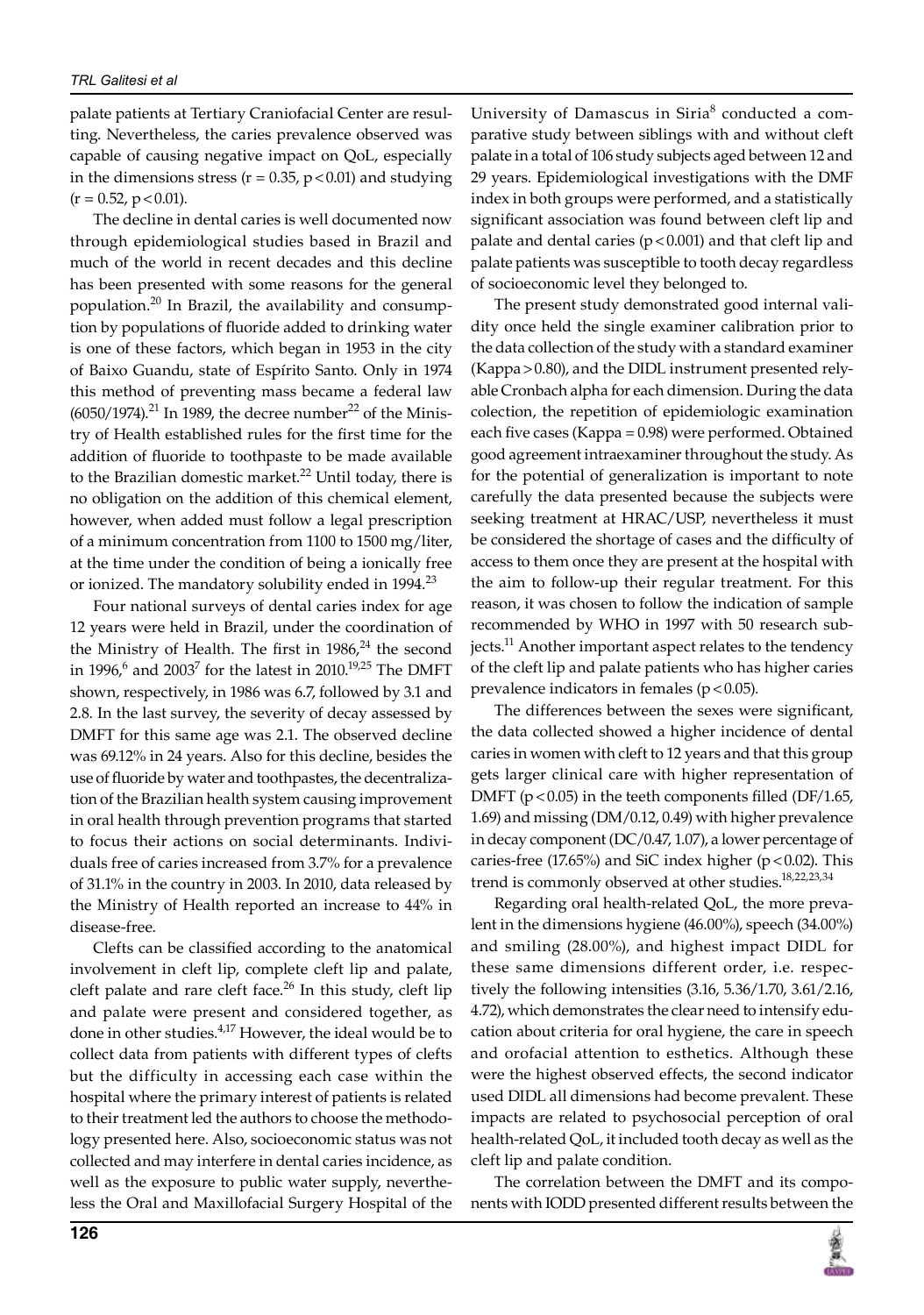palate patients at Tertiary Craniofacial Center are resulting. Nevertheless, the caries prevalence observed was capable of causing negative impact on QoL, especially in the dimensions stress ( $r = 0.35$ ,  $p < 0.01$ ) and studying  $(r = 0.52, p < 0.01)$ .

The decline in dental caries is well documented now through epidemiological studies based in Brazil and much of the world in recent decades and this decline has been presented with some reasons for the general population.<sup>20</sup> In Brazil, the availability and consumption by populations of fluoride added to drinking water is one of these factors, which began in 1953 in the city of Baixo Guandu, state of Espírito Santo. Only in 1974 this method of preventing mass became a federal law  $(6050/1974).$ <sup>21</sup> In 1989, the decree number<sup>22</sup> of the Ministry of Health established rules for the first time for the addition of fluoride to toothpaste to be made available to the Brazilian domestic market.<sup>22</sup> Until today, there is no obligation on the addition of this chemical element, however, when added must follow a legal prescription of a minimum concentration from 1100 to 1500 mg/liter, at the time under the condition of being a ionically free or ionized. The mandatory solubility ended in 1994.<sup>23</sup>

Four national surveys of dental caries index for age 12 years were held in Brazil, under the coordination of the Ministry of Health. The first in  $1986<sup>24</sup>$  the second in 1996, $^6$  and 2003<sup>7</sup> for the latest in 2010.<sup>19,25</sup> The DMFT shown, respectively, in 1986 was 6.7, followed by 3.1 and 2.8. In the last survey, the severity of decay assessed by DMFT for this same age was 2.1. The observed decline was 69.12% in 24 years. Also for this decline, besides the use of fluoride by water and toothpastes, the decentralization of the Brazilian health system causing improvement in oral health through prevention programs that started to focus their actions on social determinants. Individuals free of caries increased from 3.7% for a prevalence of 31.1% in the country in 2003. in 2010, data released by the Ministry of Health reported an increase to 44% in disease-free.

Clefts can be classified according to the anatomical involvement in cleft lip, complete cleft lip and palate, cleft palate and rare cleft face.<sup>26</sup> In this study, cleft lip and palate were present and considered together, as done in other studies.<sup>4,17</sup> However, the ideal would be to collect data from patients with different types of clefts but the difficulty in accessing each case within the hospital where the primary interest of patients is related to their treatment led the authors to choose the methodology presented here. Also, socioeconomic status was not collected and may interfere in dental caries incidence, as well as the exposure to public water supply, nevertheless the Oral and Maxillofacial Surgery Hospital of the

University of Damascus in Siria<sup>8</sup> conducted a comparative study between siblings with and without cleft palate in a total of 106 study subjects aged between 12 and 29 years. Epidemiological investigations with the DMF index in both groups were performed, and a statistically significant association was found between cleft lip and palate and dental caries ( $p < 0.001$ ) and that cleft lip and palate patients was susceptible to tooth decay regardless of socioeconomic level they belonged to.

The present study demonstrated good internal validity once held the single examiner calibration prior to the data collection of the study with a standard examiner (Kappa>0.80), and the DIDL instrument presented relyable Cronbach alpha for each dimension. During the data colection, the repetition of epidemiologic examination each five cases (Kappa = 0.98) were performed. Obtained good agreement intraexaminer throughout the study. As for the potential of generalization is important to note carefully the data presented because the subjects were seeking treatment at HRAC/USP, nevertheless it must be considered the shortage of cases and the difficulty of access to them once they are present at the hospital with the aim to follow-up their regular treatment. For this reason, it was chosen to follow the indication of sample recommended by WHO in 1997 with 50 research subjects.<sup>11</sup> Another important aspect relates to the tendency of the cleft lip and palate patients who has higher caries prevalence indicators in females ( $p < 0.05$ ).

The differences between the sexes were significant, the data collected showed a higher incidence of dental caries in women with cleft to 12 years and that this group gets larger clinical care with higher representation of DMFT ( $p < 0.05$ ) in the teeth components filled (DF/1.65, 1.69) and missing (DM/0.12, 0.49) with higher prevalence in decay component (DC/0.47, 1.07), a lower percentage of caries-free (17.65%) and SiC index higher ( $p$  < 0.02). This trend is commonly observed at other studies.<sup>18,22,23,34</sup>

Regarding oral health-related QoL, the more prevalent in the dimensions hygiene (46.00%), speech (34.00%) and smiling (28.00%), and highest impact DIDL for these same dimensions different order, i.e. respectively the following intensities (3.16, 5.36/1.70, 3.61/2.16, 4.72), which demonstrates the clear need to intensify education about criteria for oral hygiene, the care in speech and orofacial attention to esthetics. Although these were the highest observed effects, the second indicator used DIDL all dimensions had become prevalent. These impacts are related to psychosocial perception of oral health-related QoL, it included tooth decay as well as the cleft lip and palate condition.

The correlation between the DMFT and its components with IODD presented different results between the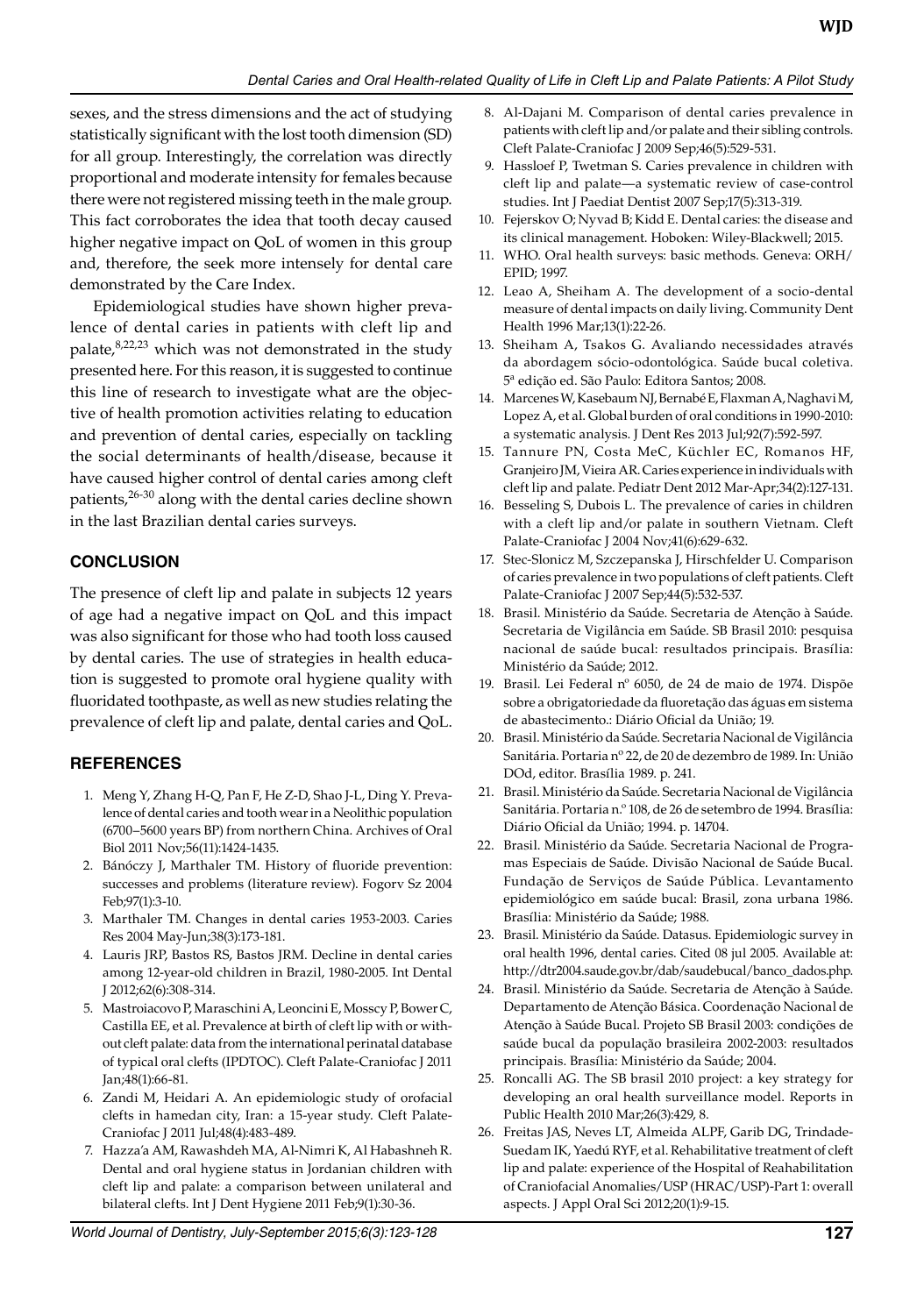sexes, and the stress dimensions and the act of studying statistically significant with the lost tooth dimension (SD) for all group. Interestingly, the correlation was directly proportional and moderate intensity for females because there were not registered missing teeth in the male group. This fact corroborates the idea that tooth decay caused higher negative impact on QoL of women in this group and, therefore, the seek more intensely for dental care demonstrated by the Care Index.

Epidemiological studies have shown higher prevalence of dental caries in patients with cleft lip and palate, 8,22,23 which was not demonstrated in the study presented here. For this reason, it is suggested to continue this line of research to investigate what are the objective of health promotion activities relating to education and prevention of dental caries, especially on tackling the social determinants of health/disease, because it have caused higher control of dental caries among cleft patients, $26-30$  along with the dental caries decline shown in the last Brazilian dental caries surveys.

## **Conclusion**

The presence of cleft lip and palate in subjects 12 years of age had a negative impact on QoL and this impact was also significant for those who had tooth loss caused by dental caries. The use of strategies in health education is suggested to promote oral hygiene quality with fluoridated toothpaste, as well as new studies relating the prevalence of cleft lip and palate, dental caries and QoL.

#### **References**

- 1. Meng Y, Zhang H-Q, Pan F, He Z-D, Shao J-L, Ding Y. Prevalence of dental caries and tooth wear in a Neolithic population (6700–5600 years BP) from northern China. Archives of Oral Biol 2011 Nov;56(11):1424-1435.
- 2. Bánóczy J, Marthaler TM. History of fluoride prevention: successes and problems (literature review). Fogorv Sz 2004 Feb;97(1):3-10.
- 3. Marthaler TM. Changes in dental caries 1953-2003. Caries Res 2004 May-Jun;38(3):173-181.
- 4. Lauris JRP, Bastos RS, Bastos JRM. Decline in dental caries among 12-year-old children in Brazil, 1980-2005. Int Dental J 2012;62(6):308-314.
- 5. Mastroiacovo P, Maraschini A, Leoncini E, Mosscy P, Bower C, Castilla EE, et al. Prevalence at birth of cleft lip with or without cleft palate: data from the international perinatal database of typical oral clefts (IPDTOC). Cleft Palate-Craniofac J 2011 Jan;48(1):66-81.
- 6. Zandi M, Heidari A. An epidemiologic study of orofacial clefts in hamedan city, iran: a 15-year study. Cleft Palate-Craniofac J 2011 Jul;48(4):483-489.
- 7. Hazza'a AM, Rawashdeh MA, Al-Nimri K, Al Habashneh R. Dental and oral hygiene status in Jordanian children with cleft lip and palate: a comparison between unilateral and bilateral clefts. Int J Dent Hygiene 2011 Feb;9(1):30-36.
- 8. Al-Dajani M. Comparison of dental caries prevalence in patients with cleft lip and/or palate and their sibling controls. Cleft Palate-Craniofac J 2009 Sep;46(5):529-531.
- 9. Hassloef P, Twetman S. Caries prevalence in children with cleft lip and palate—a systematic review of case-control studies. Int J Paediat Dentist 2007 Sep;17(5):313-319.
- 10. Fejerskov O; Nyvad B; Kidd E. Dental caries: the disease and its clinical management. Hoboken: Wiley-Blackwell; 2015.
- 11. WHO. Oral health surveys: basic methods. Geneva: ORH/ EPID; 1997.
- 12. Leao A, Sheiham A. The development of a socio-dental measure of dental impacts on daily living. Community Dent Health 1996 Mar;13(1):22-26.
- 13. Sheiham A, Tsakos G. Avaliando necessidades através da abordagem sócio-odontológica. Saúde bucal coletiva. 5ª edição ed. São Paulo: Editora Santos; 2008.
- 14. Marcenes W, Kasebaum NJ, Bernabé E, Flaxman A, Naghavi M, Lopez A, et al. Global burden of oral conditions in 1990-2010: a systematic analysis. J Dent Res 2013 Jul;92(7):592-597.
- 15. Tannure PN, Costa MeC, Küchler EC, Romanos HF, Granjeiro JM, Vieira AR. Caries experience in individuals with cleft lip and palate. Pediatr Dent 2012 Mar-Apr;34(2):127-131.
- 16. Besseling S, Dubois L. The prevalence of caries in children with a cleft lip and/or palate in southern Vietnam. Cleft Palate-Craniofac J 2004 Nov;41(6):629-632.
- 17. Stec-Slonicz M, Szczepanska J, Hirschfelder U. Comparison of caries prevalence in two populations of cleft patients. Cleft Palate-Craniofac J 2007 Sep;44(5):532-537.
- 18. Brasil. Ministério da Saúde. Secretaria de Atenção à Saúde. Secretaria de Vigilância em Saúde. SB Brasil 2010: pesquisa nacional de saúde bucal: resultados principais. Brasília: Ministério da Saúde; 2012.
- 19. Brasil. Lei Federal nº 6050, de 24 de maio de 1974. Dispõe sobre a obrigatoriedade da fluoretação das águas em sistema de abastecimento.: Diário Oficial da União; 19.
- 20. Brasil. Ministério da Saúde. Secretaria Nacional de Vigilância Sanitária. Portaria nº 22, de 20 de dezembro de 1989. In: União DOd, editor. Brasília 1989. p. 241.
- 21. Brasil. Ministério da Saúde. Secretaria Nacional de Vigilância Sanitária. Portaria n.º 108, de 26 de setembro de 1994. Brasília: Diário Oficial da União; 1994. p. 14704.
- 22. Brasil. Ministério da Saúde. Secretaria Nacional de Programas Especiais de Saúde. Divisão Nacional de Saúde Bucal. Fundação de Serviços de Saúde Pública. Levantamento epidemiológico em saúde bucal: Brasil, zona urbana 1986. Brasília: Ministério da Saúde; 1988.
- 23. Brasil. Ministério da Saúde. Datasus. Epidemiologic survey in oral health 1996, dental caries. Cited 08 jul 2005. Available at: http://dtr2004.saude.gov.br/dab/saudebucal/banco\_dados.php.
- 24. Brasil. Ministério da Saúde. Secretaria de Atenção à Saúde. Departamento de Atenção Básica. Coordenação Nacional de Atenção à Saúde Bucal. Projeto SB Brasil 2003: condições de saúde bucal da população brasileira 2002-2003: resultados principais. Brasília: Ministério da Saúde; 2004.
- 25. Roncalli AG. The SB brasil 2010 project: a key strategy for developing an oral health surveillance model. Reports in Public Health 2010 Mar;26(3):429, 8.
- 26. Freitas JAS, Neves LT, Almeida ALPF, Garib DG, Trindade-Suedam IK, Yaedú RYF, et al. Rehabilitative treatment of cleft lip and palate: experience of the Hospital of Reahabilitation of Craniofacial Anomalies/USP (HRAC/USP)-Part 1: overall aspects. J Appl Oral Sci 2012;20(1):9-15.